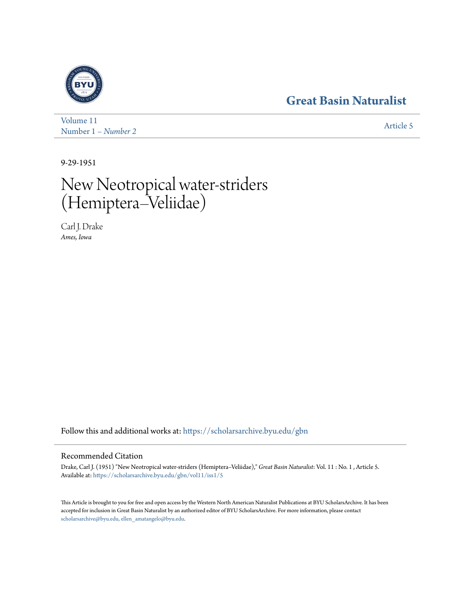## **[Great Basin Naturalist](https://scholarsarchive.byu.edu/gbn?utm_source=scholarsarchive.byu.edu%2Fgbn%2Fvol11%2Fiss1%2F5&utm_medium=PDF&utm_campaign=PDFCoverPages)**



[Volume 11](https://scholarsarchive.byu.edu/gbn/vol11?utm_source=scholarsarchive.byu.edu%2Fgbn%2Fvol11%2Fiss1%2F5&utm_medium=PDF&utm_campaign=PDFCoverPages) Number 1 *[– Number 2](https://scholarsarchive.byu.edu/gbn/vol11/iss1?utm_source=scholarsarchive.byu.edu%2Fgbn%2Fvol11%2Fiss1%2F5&utm_medium=PDF&utm_campaign=PDFCoverPages)* [Article 5](https://scholarsarchive.byu.edu/gbn/vol11/iss1/5?utm_source=scholarsarchive.byu.edu%2Fgbn%2Fvol11%2Fiss1%2F5&utm_medium=PDF&utm_campaign=PDFCoverPages)

9-29-1951

# New Neotropical water-striders (Hemiptera–Veliidae)

Carl J. Drake *Ames, Iowa*

Follow this and additional works at: [https://scholarsarchive.byu.edu/gbn](https://scholarsarchive.byu.edu/gbn?utm_source=scholarsarchive.byu.edu%2Fgbn%2Fvol11%2Fiss1%2F5&utm_medium=PDF&utm_campaign=PDFCoverPages)

### Recommended Citation

Drake, Carl J. (1951) "New Neotropical water-striders (Hemiptera–Veliidae)," *Great Basin Naturalist*: Vol. 11 : No. 1 , Article 5. Available at: [https://scholarsarchive.byu.edu/gbn/vol11/iss1/5](https://scholarsarchive.byu.edu/gbn/vol11/iss1/5?utm_source=scholarsarchive.byu.edu%2Fgbn%2Fvol11%2Fiss1%2F5&utm_medium=PDF&utm_campaign=PDFCoverPages)

This Article is brought to you for free and open access by the Western North American Naturalist Publications at BYU ScholarsArchive. It has been accepted for inclusion in Great Basin Naturalist by an authorized editor of BYU ScholarsArchive. For more information, please contact [scholarsarchive@byu.edu, ellen\\_amatangelo@byu.edu.](mailto:scholarsarchive@byu.edu,%20ellen_amatangelo@byu.edu)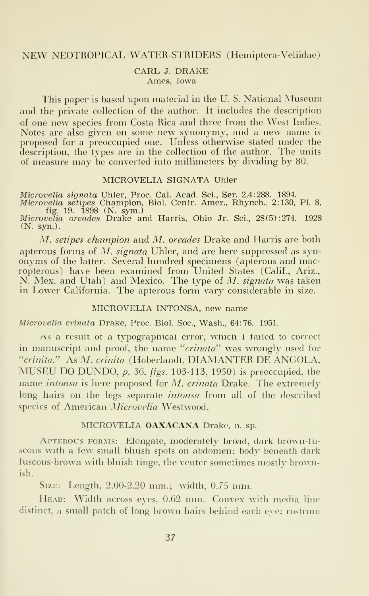#### NEW NEOTROPICAL WATER-STRIDERS (Hemiptera-Veliidae)

#### CARL J. DRAKE Ames, Iowa

This paper is based upon material in the U.S. National Museum and the private collection of the author. It includes the description of one new species from Costa Rica and three from the West Indies. Notes are also given on some new synonymy, and <sup>a</sup> new name isproposed for a preoccupied one. Unless otherwise stated under the description, the types are in the collection of the author. The units of measure may be converted into millimeters by dividing by 80.

#### MICROVELIA SIGNATA Uhler

Microvelia signata Uhler, Proc. Cal. Acad. Sci., Ser. 2,4:288. 1894.<br>*Microvelia setipes* Champi<mark>on</mark>, Biol. Centr. Amer., Rhynch., 2:130, Pl. 8,

fig. 19. 1898 (N. sym.) Microvelia oreades Drake and Harris, Ohio Jr. Sci., 28(5) :274. 1928

(N. syn.).

M. setipes champion and M. oreades Drake and Harris are both apterous forms of M. signata Uhler, and are here suppressed as synonyms of the latter. Several hundred specimens (apterous and macropterous) have been examined from United States (Calif., Ariz., N. Mex. and Utah) and Mexico. The type of M. signata was taken in Lower California. The apterous form vary considerable in size.

#### MICROVELIA INTONSA, new name

Microvelia crinata Drake, Proc. Biol. Soc, Wash., 64:76. 1951.

As a result ot a typograpmcal error, which <sup>i</sup> tailed to correct in manuscript and proof, the name "crinata" was wrongly used for "crinita." As M. crinita (Hoberlandt, DIAMANTER DE ANGOLA, MUSEU DO DUNDO, p. 36, figs. 103-113, 1950) is preoccupied, the name *intonsa* is here proposed for M. crinata Drake. The extremely long hairs on the legs separate *intonsa* from all of the described species of American Microvelia Westwood.

#### MICROVELIA OAXACANA Drake, n. sp.

Apterous forms: Elongate, moderately broad, dark brown-luscous with a few small bluish spots on abdomen; body beneath dark fuscous-brown with bluish tinge, the venter sometimes mostlv brownish.

Size: Length, 2.00-2.20 mm.; width, 0.75 mm.

Head: Width across eyes, 0.62 mm. Convex with media line distinct, a small patch of long brown hairs behind each eye; rostrum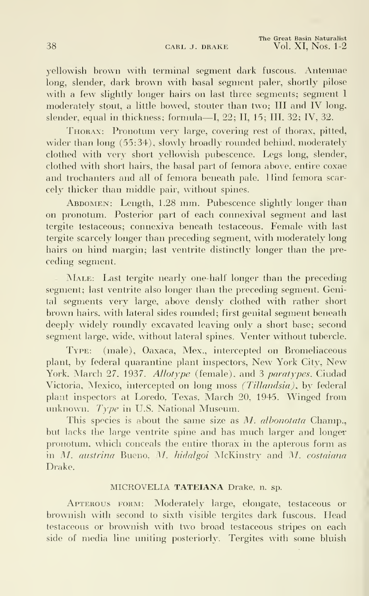yellowish brown with terminal segment dark fuscous. Antennae long, slender, dark brown with basal segment paler, shortly pilose with a few slightly longer hairs on last three segments; segment I moderately stout, a little bowed, stouter than two; III and IV long, slender, equal in thickness; formula—I, 22; II, 15; III, 32; IV, 32.

Thorax: Pronotum very large, covering rest of thorax, pitted, wider than long (55:34), slowly broadly rounded behind, moderately clothed with very short yellowish pubescence. Legs long, slender, clothed with short hairs, the basal part of femora above, entire coxae and trochanters and all of femora beneath pale. Hind femora scar cely thicker than middle pair, without spines.

Abdomen: Length, 1.28 mm. Pubescence slightly longer than on pronotum. Posterior part of each connexival segment and last tergite testaceous; connexiva beneath testaceous. Female with last tergite scarcely longer than preceding segment, with moderately long hairs on hind margin; last ventrite distinctly longer than the preceding segment.

MALE: Last tergite nearly one-half longer than the preceding segment; last ventrite also longer than the preceding segment. Genital segments very large, above densly clothed with rather short brown hairs, with lateral sides rounded; first genital segment beneath deeply widely roundly excavated leaving only a short base; second segment large, wide, without lateral spines. Venter without tubercle.

Type: (male), Oaxaca, Mex., intercepted on Bromeliaceous plant, by federal quarantine plant inspectors, New York City, New York, March 27, 1937. Allotype (female), and 3 paratypes, Ciudad Victoria, Mexico, intercepted on long moss (Tillandsia), by federal plant inspectors at Loredo, Texas, March 20, 1945. Winged from unknown. Type in U.S. National Museum.

This species is about the same size as M. albonotata Champ. but lacks the large ventrite spine and has much larger and longer pronotum, which conceals the entire thorax in the apterous form as in M. austrina Bueno, M. hidalgoi McKinstry and M. costaiana Drake.

#### MICROVELIA TATEIANA Drake, n. sp.

Apterous form: Moderately large, elongate, testaceous or brownish with second to sixth visible tergites dark fuscous. Head testaceous or brownish with two broad testaceous stripes on each side of media line uniting posteriorly. Tergites with some bluish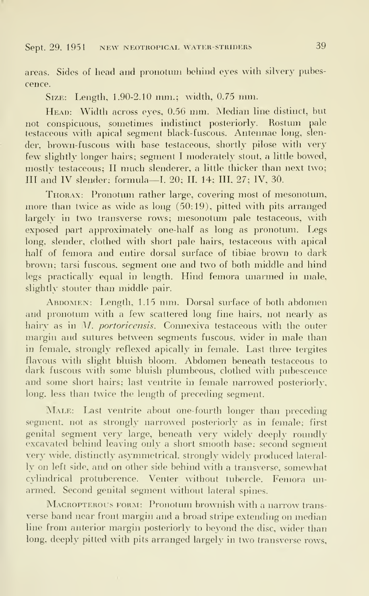#### Sept. 29. 1951 NEW NEOTROPICAL WATER-STRIDERS 39

areas. Sides of head and pronotum behind eyes with silvery pubescence.

Size: Length, 1.90-2.10 mm.; width, 0.75 mm.

Head: Width across eyes, 0.56 mm. Median line distinct, but not conspicuous, sometimes indistinct posteriorly. Rostum pale testaceous with apical segment black-fuscous. Antennae long, slen der, brown-fuscous with base testaceous, shortly pilose with very few slightly longer hairs; segment <sup>I</sup> moderately stout, a little bowed, mostlv testaceous; II much slenderer, <sup>a</sup> little thicker than next two; III and IV slender; formula—I. 20; II, 14; III, 27; IV, 30.

Thorax: Pronotum rather large, covering most of mesonotum, more than twice as wide as long (50:19), pitted with pits arranged largely in two transverse rows; mesonotum pale testaceous, with exposed part approximately one-half as long as pronotum. Legs long, slender, clothed with short pale hairs, testaceous with apical half of femora and entire dorsal surface of tibiae brown to dark brown; tarsi fuscous, segment one and two of both middle and hind legs practically equal in length. Hind femora unarmed in male, slightly stouter than middle pair.

ABDOMEN: Length, 1.15 mm. Dorsal surface of both abdomen and pronotum with a few scattered long fine hairs, not nearly as hairy as in M. portoricensis. Connexiva testaceous with the outer margin and sutures between segments fuscous, wider in male than in female, strongly reflexed apically in female. Last three tergites flavous with slight bluish bloom. Abdomen beneath testaceous to dark fuscous with some bluish plumbeous, clothed with pubescence and some short hairs; last ventrite in female narrowed posteriorly, long, less than twice the length of preceding segment.

MALE: Last ventrite about one-fourth longer than preceding segment, not as strongly narrowed posteriorly as in female; first genital segment very large, beneath very widely deeply roundly excavated behind leaving only a short smooth base; second segment very wide, distinctly asymmetrical, strongly widely produced lateral ly on left side, and on other side behind with a transverse, somewhat cylindrical protuberence. Venter without tubercle. Femora un armed. Second genital segment without lateral spines.

MACROPTEROUS FORM: Pronotum brownish with a narrow transverse band near front margin and <sup>a</sup> broad stripe extending on median line from anterior margin posteriorly to beyond the disc, wider than long, deeply pitted with pits arranged largely in two transverse rows.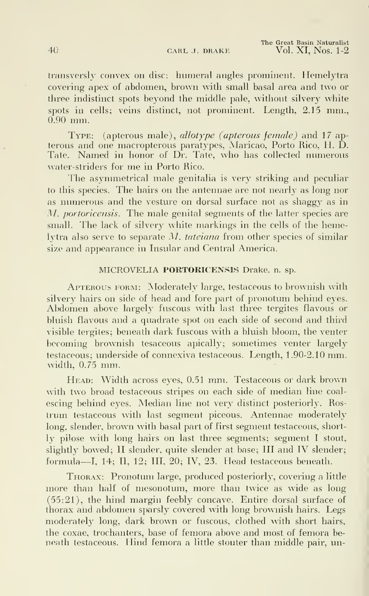The Great Basin Naturalist 40 CARL J. DRAKE Vol. XI, Nos. 1-2

transversly convex on disc: humeral angles prominent. Hemelytra covering apex of abdomen, brown with small basal area and two or three indistinct spots beyond the middle pale, without silvery white spots in cells; veins distinct, not prominent. Length, 2.15 mm., 0.90 mm.

TYPE: (apterous male), allotype (apterous female) and 17 apterous and one macropterous paratypes, Maricao, Porto Rico, H. D. Tate. Named in honor of Dr. Tate, who has collected numerous water-striders for me in Porto Rico.

The asymmetrical male genitalia is very striking and peculiar to this species. The hairs on the antennae are not nearly as long nor as numerous and the vesture on dorsal surface not as shaggy as in M. portoricensis. The male genital segments of the latter species are small. The lack of silvery white markings in the cells of the hemelytra also serve to separate M. tateiana from other species of similar size and appearance in Insular and Central America.

#### MICROVELIA PORTORICENSIS Drake, n. sp.

Apterous form: Moderately large, testaceous to brownish with silvery hairs on side of head and fore part of pronotum behind eyes. Abdomen above largely fuscous with last three tergites flavous or bluish flavous and a quadrate spot on each side of second and third visible tergites; beneath dark fuscous with a bluish bloom, the venter becoming brownish tesaceous apically; sometimes venter largely testaceous; underside of connexiva testaceous. Length, 1.90-2.10 mm. width, 0.75 mm.

Head: Width across eyes, 0.51 mm. Testaceous or dark brown with two broad testaceous stripes on each side of median line coal escing behind eyes. Median line not very distinct posteriorly. Ros trum testaceous with last segment piceous. Antennae moderately long, slender, brown with basal part of first segment testaceous, short ly pilose with long hairs on last three segments; segment <sup>I</sup> stout, slightly bowed; II slender, quite slender at base; III and IV slender; formula—I, 14; II, 12; III, 20; IV, 23. Head testaceous beneath.

Thorax: Pronotum large, produced posteriorly, covering a little more than half of mesonotum, more than twice as wide as long (55:21), the hind margin feebly concave. Entire dorsal surface of thorax and abdomen sparsly covered with long brownish hairs. Legs moderately long, dark brown or fuscous, clothed with short hairs, the coxae, trochanters, base of femora above and most of femora beneath testaceous. Hind femora a little stouter than middle pair, un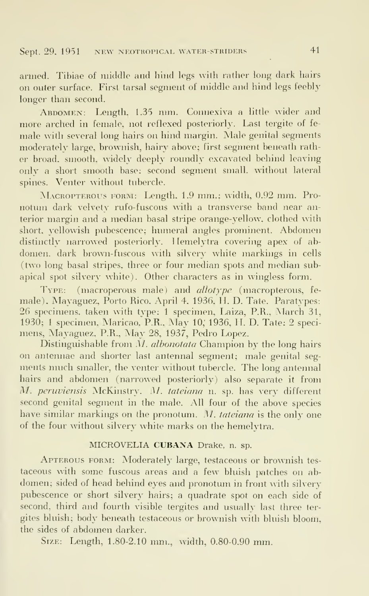armed. Tibiae of middle and hind legs with rather long dark hairs on outer surface. First tarsal segment of middle and hind legs feebly longer than second.

Abdomen: Length. 1.35 mm. Connexiva <sup>a</sup> little wider and more arched in female, not reflexed posteriorly. Last tergite of fe male with several long hairs on hind margin. Male genital segments moderately large, brownish, hairy above; first segment beneath rather broad, smooth, widely deeply roundly excavated behind leaving only a short smooth base; second segment small, without lateral spines. Venter without tubercle.

Macropterous form: Length, 1.9 mm.; width, 0.92 mm. Pro notum dark velvety rufo-fuscous with a transverse band near anterior margin and a median basal stripe orange-yellow, clothed with short, yellowish pubescence; humeral angles prominent. Abdomen distinctly narrowed posteriorly. Ilemelytra covering apex of abdomen, dark brown-fuscous with silvery white markings in cells two long basal stripes, three or four median spots and median subapical spot silvery white). Other characters as in wingless form.

TYPE: (macroperous male) and *allotype* (macropterous, female), Mayaguez, Porto Rico, April 4, 1936, H. D. Tate. Paratypes: 26 specimens, taken with type; <sup>1</sup> specimen, Laiza, P.R.. March 31, 1930; 1 specimen, Maricao, P.R., May 10, 1936, H. D. Tate: 2 specimens, Mayaguez, P.R., May 28, 1937, Pedro Lopez.

Distinguishable from M. albonotata Champion by the long hairs on antennae and shorter last antennal segment; male genital seg ments much smaller, the venter without tubercle. The long antennal hairs and abdomen (narrowed posteriorly) also separate it from M. peruviensis McKinstrv. M. tateiana n. sp. has very different second genital segment in the male. All four of the above species have similar markings on the pronotum. M. tateiana is the only one of the four without silvery white marks on the hemelvtra.

#### MICROVELIA CUBANA Drake, n. sp.

Apterous form: Moderately large, testaceous or brownish tes taceous with some fuscous areas and a few bluish patches on abdomen; sided of head behind eyes and pronotum in front with silvery pubescence or short silvery hairs; a quadrate spot on each side of second, third and fourth visible tergites and usually last three ter gites bluish; body beneath testaceous or brownish with bluish bloom, the sides of abdomen darker.

Size: Length, 1.80-2.10 mm., width, 0.80-0.90 mm.